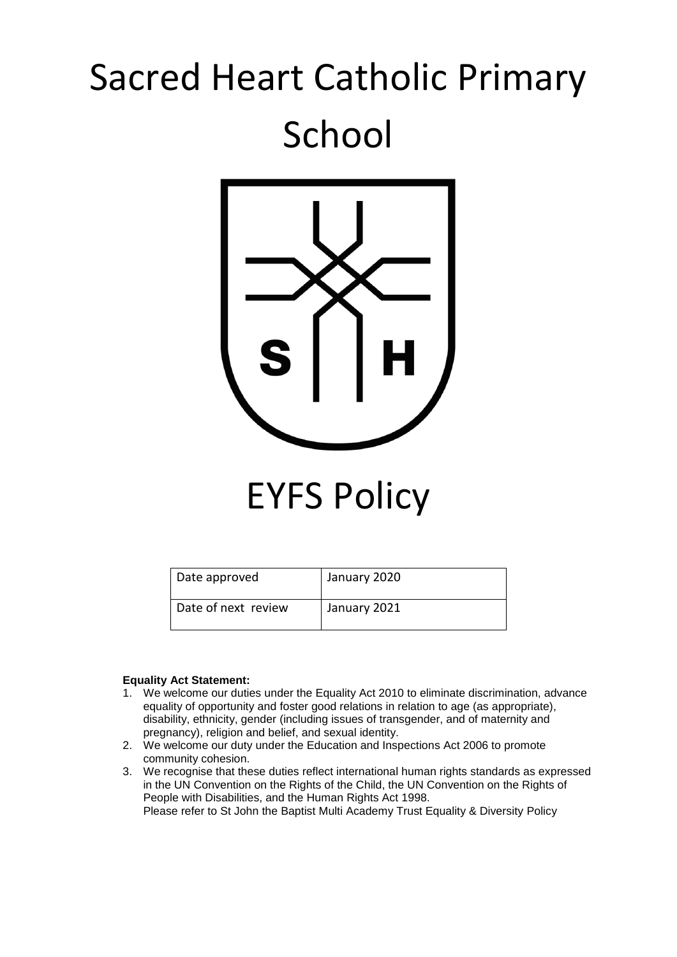# Sacred Heart Catholic Primary School



EYFS Policy

| Date approved       | January 2020 |
|---------------------|--------------|
| Date of next review | January 2021 |

#### **Equality Act Statement:**

- 1. We welcome our duties under the Equality Act 2010 to eliminate discrimination, advance equality of opportunity and foster good relations in relation to age (as appropriate), disability, ethnicity, gender (including issues of transgender, and of maternity and pregnancy), religion and belief, and sexual identity.
- 2. We welcome our duty under the Education and Inspections Act 2006 to promote community cohesion.
- 3. We recognise that these duties reflect international human rights standards as expressed in the UN Convention on the Rights of the Child, the UN Convention on the Rights of People with Disabilities, and the Human Rights Act 1998. Please refer to St John the Baptist Multi Academy Trust Equality & Diversity Policy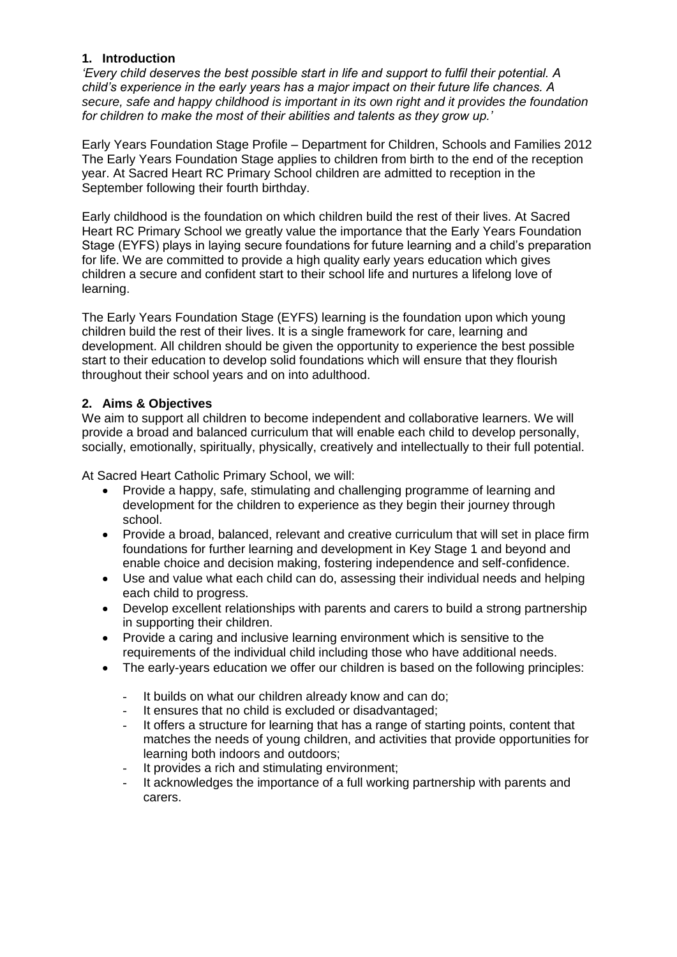# **1. Introduction**

*'Every child deserves the best possible start in life and support to fulfil their potential. A child's experience in the early years has a major impact on their future life chances. A secure, safe and happy childhood is important in its own right and it provides the foundation for children to make the most of their abilities and talents as they grow up.'*

Early Years Foundation Stage Profile – Department for Children, Schools and Families 2012 The Early Years Foundation Stage applies to children from birth to the end of the reception year. At Sacred Heart RC Primary School children are admitted to reception in the September following their fourth birthday.

Early childhood is the foundation on which children build the rest of their lives. At Sacred Heart RC Primary School we greatly value the importance that the Early Years Foundation Stage (EYFS) plays in laying secure foundations for future learning and a child's preparation for life. We are committed to provide a high quality early years education which gives children a secure and confident start to their school life and nurtures a lifelong love of learning.

The Early Years Foundation Stage (EYFS) learning is the foundation upon which young children build the rest of their lives. It is a single framework for care, learning and development. All children should be given the opportunity to experience the best possible start to their education to develop solid foundations which will ensure that they flourish throughout their school years and on into adulthood.

## **2. Aims & Objectives**

We aim to support all children to become independent and collaborative learners. We will provide a broad and balanced curriculum that will enable each child to develop personally, socially, emotionally, spiritually, physically, creatively and intellectually to their full potential.

At Sacred Heart Catholic Primary School, we will:

- Provide a happy, safe, stimulating and challenging programme of learning and development for the children to experience as they begin their journey through school.
- Provide a broad, balanced, relevant and creative curriculum that will set in place firm foundations for further learning and development in Key Stage 1 and beyond and enable choice and decision making, fostering independence and self-confidence.
- Use and value what each child can do, assessing their individual needs and helping each child to progress.
- Develop excellent relationships with parents and carers to build a strong partnership in supporting their children.
- Provide a caring and inclusive learning environment which is sensitive to the requirements of the individual child including those who have additional needs.
- The early-years education we offer our children is based on the following principles:
	- It builds on what our children already know and can do;
	- It ensures that no child is excluded or disadvantaged;
	- It offers a structure for learning that has a range of starting points, content that matches the needs of young children, and activities that provide opportunities for learning both indoors and outdoors;
	- It provides a rich and stimulating environment:
	- It acknowledges the importance of a full working partnership with parents and carers.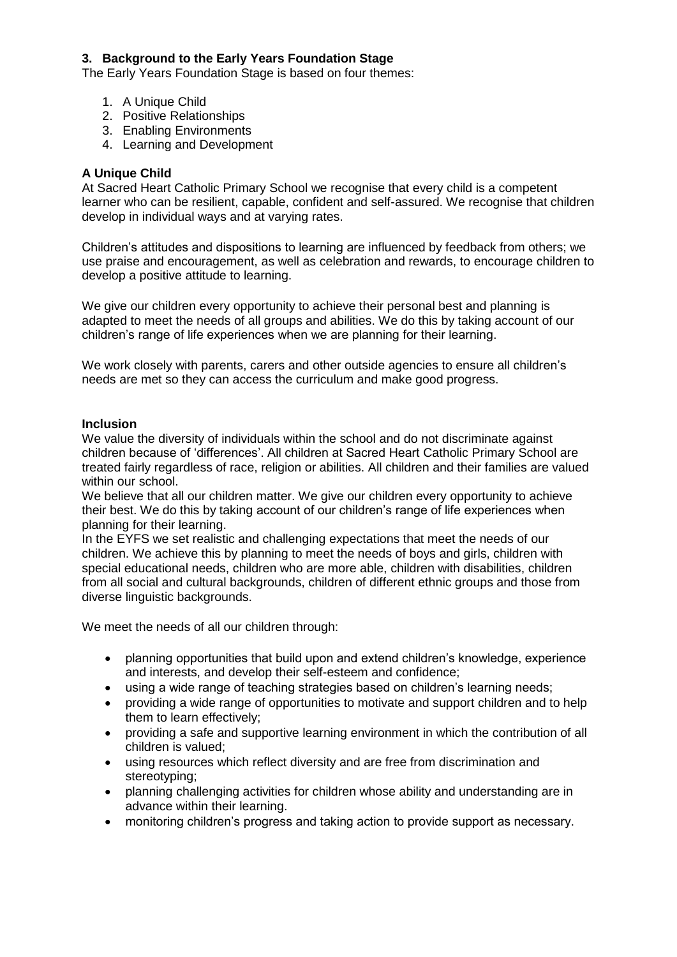# **3. Background to the Early Years Foundation Stage**

The Early Years Foundation Stage is based on four themes:

- 1. A Unique Child
- 2. Positive Relationships
- 3. Enabling Environments
- 4. Learning and Development

## **A Unique Child**

At Sacred Heart Catholic Primary School we recognise that every child is a competent learner who can be resilient, capable, confident and self-assured. We recognise that children develop in individual ways and at varying rates.

Children's attitudes and dispositions to learning are influenced by feedback from others; we use praise and encouragement, as well as celebration and rewards, to encourage children to develop a positive attitude to learning.

We give our children every opportunity to achieve their personal best and planning is adapted to meet the needs of all groups and abilities. We do this by taking account of our children's range of life experiences when we are planning for their learning.

We work closely with parents, carers and other outside agencies to ensure all children's needs are met so they can access the curriculum and make good progress.

#### **Inclusion**

We value the diversity of individuals within the school and do not discriminate against children because of 'differences'. All children at Sacred Heart Catholic Primary School are treated fairly regardless of race, religion or abilities. All children and their families are valued within our school.

We believe that all our children matter. We give our children every opportunity to achieve their best. We do this by taking account of our children's range of life experiences when planning for their learning.

In the EYFS we set realistic and challenging expectations that meet the needs of our children. We achieve this by planning to meet the needs of boys and girls, children with special educational needs, children who are more able, children with disabilities, children from all social and cultural backgrounds, children of different ethnic groups and those from diverse linguistic backgrounds.

We meet the needs of all our children through:

- planning opportunities that build upon and extend children's knowledge, experience and interests, and develop their self-esteem and confidence;
- using a wide range of teaching strategies based on children's learning needs;
- providing a wide range of opportunities to motivate and support children and to help them to learn effectively;
- providing a safe and supportive learning environment in which the contribution of all children is valued;
- using resources which reflect diversity and are free from discrimination and stereotyping;
- planning challenging activities for children whose ability and understanding are in advance within their learning.
- monitoring children's progress and taking action to provide support as necessary.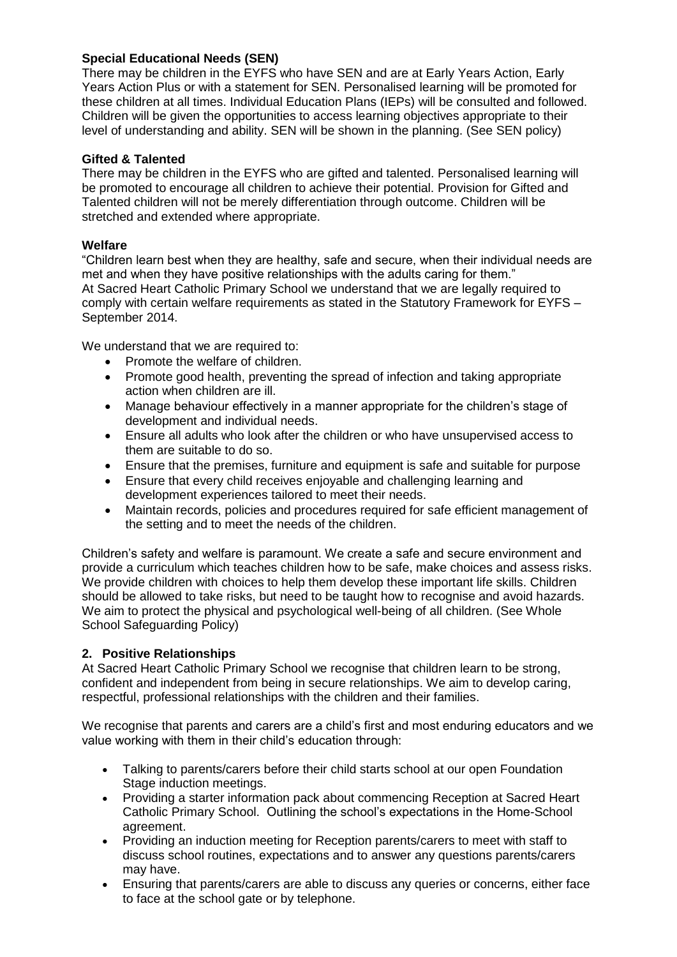# **Special Educational Needs (SEN)**

There may be children in the EYFS who have SEN and are at Early Years Action, Early Years Action Plus or with a statement for SEN. Personalised learning will be promoted for these children at all times. Individual Education Plans (IEPs) will be consulted and followed. Children will be given the opportunities to access learning objectives appropriate to their level of understanding and ability. SEN will be shown in the planning. (See SEN policy)

#### **Gifted & Talented**

There may be children in the EYFS who are gifted and talented. Personalised learning will be promoted to encourage all children to achieve their potential. Provision for Gifted and Talented children will not be merely differentiation through outcome. Children will be stretched and extended where appropriate.

#### **Welfare**

"Children learn best when they are healthy, safe and secure, when their individual needs are met and when they have positive relationships with the adults caring for them." At Sacred Heart Catholic Primary School we understand that we are legally required to comply with certain welfare requirements as stated in the Statutory Framework for EYFS – September 2014.

We understand that we are required to:

- Promote the welfare of children.
- Promote good health, preventing the spread of infection and taking appropriate action when children are ill.
- Manage behaviour effectively in a manner appropriate for the children's stage of development and individual needs.
- Ensure all adults who look after the children or who have unsupervised access to them are suitable to do so.
- Ensure that the premises, furniture and equipment is safe and suitable for purpose
- Ensure that every child receives enjoyable and challenging learning and development experiences tailored to meet their needs.
- Maintain records, policies and procedures required for safe efficient management of the setting and to meet the needs of the children.

Children's safety and welfare is paramount. We create a safe and secure environment and provide a curriculum which teaches children how to be safe, make choices and assess risks. We provide children with choices to help them develop these important life skills. Children should be allowed to take risks, but need to be taught how to recognise and avoid hazards. We aim to protect the physical and psychological well-being of all children. (See Whole School Safeguarding Policy)

## **2. Positive Relationships**

At Sacred Heart Catholic Primary School we recognise that children learn to be strong, confident and independent from being in secure relationships. We aim to develop caring, respectful, professional relationships with the children and their families.

We recognise that parents and carers are a child's first and most enduring educators and we value working with them in their child's education through:

- Talking to parents/carers before their child starts school at our open Foundation Stage induction meetings.
- Providing a starter information pack about commencing Reception at Sacred Heart Catholic Primary School. Outlining the school's expectations in the Home-School agreement.
- Providing an induction meeting for Reception parents/carers to meet with staff to discuss school routines, expectations and to answer any questions parents/carers may have.
- Ensuring that parents/carers are able to discuss any queries or concerns, either face to face at the school gate or by telephone.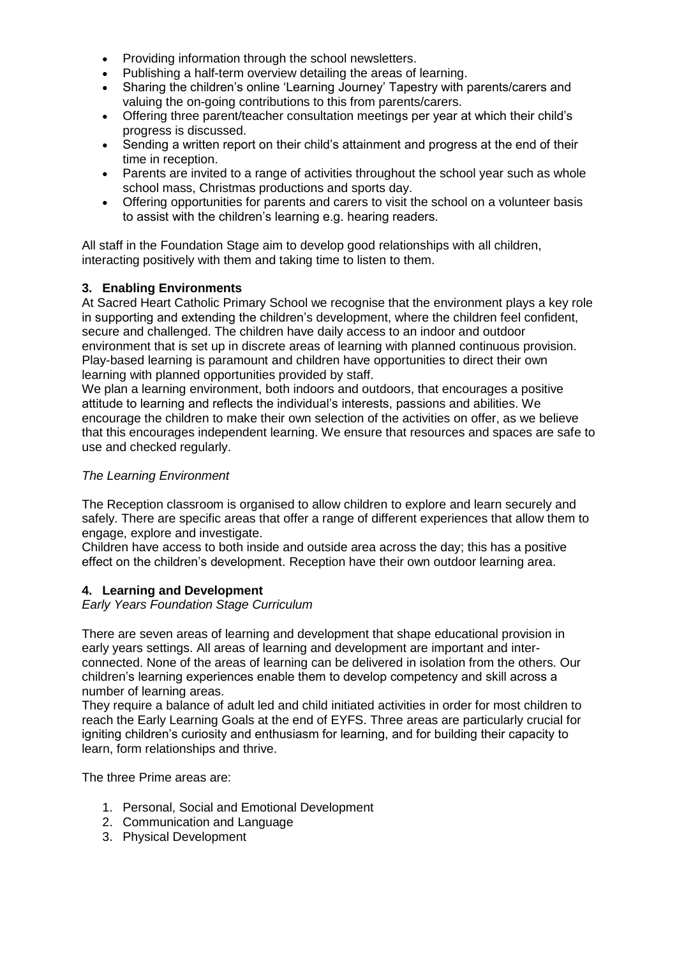- Providing information through the school newsletters.
- Publishing a half-term overview detailing the areas of learning.
- Sharing the children's online 'Learning Journey' Tapestry with parents/carers and valuing the on-going contributions to this from parents/carers.
- Offering three parent/teacher consultation meetings per year at which their child's progress is discussed.
- Sending a written report on their child's attainment and progress at the end of their time in reception.
- Parents are invited to a range of activities throughout the school year such as whole school mass, Christmas productions and sports day.
- Offering opportunities for parents and carers to visit the school on a volunteer basis to assist with the children's learning e.g. hearing readers.

All staff in the Foundation Stage aim to develop good relationships with all children, interacting positively with them and taking time to listen to them.

# **3. Enabling Environments**

At Sacred Heart Catholic Primary School we recognise that the environment plays a key role in supporting and extending the children's development, where the children feel confident, secure and challenged. The children have daily access to an indoor and outdoor environment that is set up in discrete areas of learning with planned continuous provision. Play-based learning is paramount and children have opportunities to direct their own learning with planned opportunities provided by staff.

We plan a learning environment, both indoors and outdoors, that encourages a positive attitude to learning and reflects the individual's interests, passions and abilities. We encourage the children to make their own selection of the activities on offer, as we believe that this encourages independent learning. We ensure that resources and spaces are safe to use and checked regularly.

# *The Learning Environment*

The Reception classroom is organised to allow children to explore and learn securely and safely. There are specific areas that offer a range of different experiences that allow them to engage, explore and investigate.

Children have access to both inside and outside area across the day; this has a positive effect on the children's development. Reception have their own outdoor learning area.

## **4. Learning and Development**

*Early Years Foundation Stage Curriculum*

There are seven areas of learning and development that shape educational provision in early years settings. All areas of learning and development are important and interconnected. None of the areas of learning can be delivered in isolation from the others. Our children's learning experiences enable them to develop competency and skill across a number of learning areas.

They require a balance of adult led and child initiated activities in order for most children to reach the Early Learning Goals at the end of EYFS. Three areas are particularly crucial for igniting children's curiosity and enthusiasm for learning, and for building their capacity to learn, form relationships and thrive.

The three Prime areas are:

- 1. Personal, Social and Emotional Development
- 2. Communication and Language
- 3. Physical Development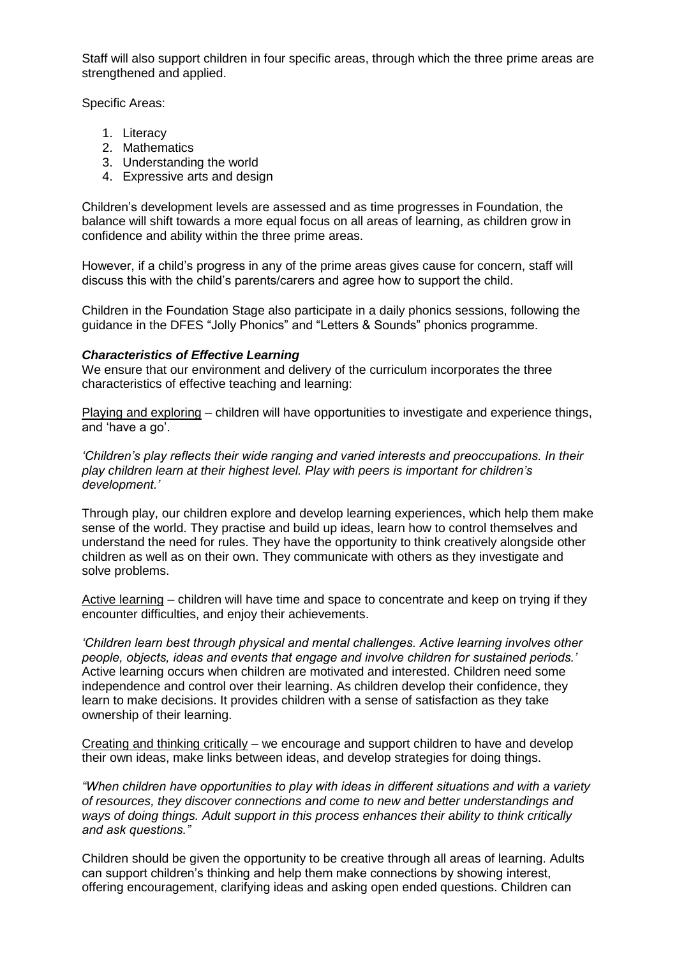Staff will also support children in four specific areas, through which the three prime areas are strengthened and applied.

Specific Areas:

- 1. Literacy
- 2. Mathematics
- 3. Understanding the world
- 4. Expressive arts and design

Children's development levels are assessed and as time progresses in Foundation, the balance will shift towards a more equal focus on all areas of learning, as children grow in confidence and ability within the three prime areas.

However, if a child's progress in any of the prime areas gives cause for concern, staff will discuss this with the child's parents/carers and agree how to support the child.

Children in the Foundation Stage also participate in a daily phonics sessions, following the guidance in the DFES "Jolly Phonics" and "Letters & Sounds" phonics programme.

## *Characteristics of Effective Learning*

We ensure that our environment and delivery of the curriculum incorporates the three characteristics of effective teaching and learning:

Playing and exploring – children will have opportunities to investigate and experience things, and 'have a go'.

*'Children's play reflects their wide ranging and varied interests and preoccupations. In their play children learn at their highest level. Play with peers is important for children's development.'*

Through play, our children explore and develop learning experiences, which help them make sense of the world. They practise and build up ideas, learn how to control themselves and understand the need for rules. They have the opportunity to think creatively alongside other children as well as on their own. They communicate with others as they investigate and solve problems.

Active learning – children will have time and space to concentrate and keep on trying if they encounter difficulties, and enjoy their achievements.

*'Children learn best through physical and mental challenges. Active learning involves other people, objects, ideas and events that engage and involve children for sustained periods.'* Active learning occurs when children are motivated and interested. Children need some independence and control over their learning. As children develop their confidence, they learn to make decisions. It provides children with a sense of satisfaction as they take ownership of their learning.

Creating and thinking critically – we encourage and support children to have and develop their own ideas, make links between ideas, and develop strategies for doing things.

*"When children have opportunities to play with ideas in different situations and with a variety of resources, they discover connections and come to new and better understandings and ways of doing things. Adult support in this process enhances their ability to think critically and ask questions."*

Children should be given the opportunity to be creative through all areas of learning. Adults can support children's thinking and help them make connections by showing interest, offering encouragement, clarifying ideas and asking open ended questions. Children can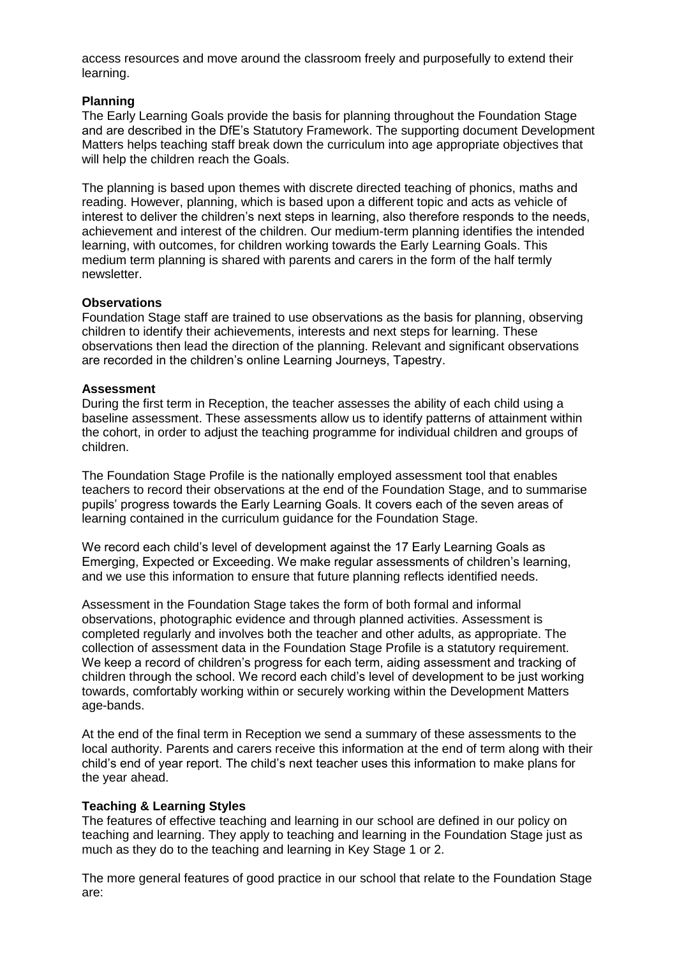access resources and move around the classroom freely and purposefully to extend their learning.

#### **Planning**

The Early Learning Goals provide the basis for planning throughout the Foundation Stage and are described in the DfE's Statutory Framework. The supporting document Development Matters helps teaching staff break down the curriculum into age appropriate objectives that will help the children reach the Goals.

The planning is based upon themes with discrete directed teaching of phonics, maths and reading. However, planning, which is based upon a different topic and acts as vehicle of interest to deliver the children's next steps in learning, also therefore responds to the needs, achievement and interest of the children. Our medium-term planning identifies the intended learning, with outcomes, for children working towards the Early Learning Goals. This medium term planning is shared with parents and carers in the form of the half termly newsletter.

#### **Observations**

Foundation Stage staff are trained to use observations as the basis for planning, observing children to identify their achievements, interests and next steps for learning. These observations then lead the direction of the planning. Relevant and significant observations are recorded in the children's online Learning Journeys, Tapestry.

#### **Assessment**

During the first term in Reception, the teacher assesses the ability of each child using a baseline assessment. These assessments allow us to identify patterns of attainment within the cohort, in order to adjust the teaching programme for individual children and groups of children.

The Foundation Stage Profile is the nationally employed assessment tool that enables teachers to record their observations at the end of the Foundation Stage, and to summarise pupils' progress towards the Early Learning Goals. It covers each of the seven areas of learning contained in the curriculum guidance for the Foundation Stage.

We record each child's level of development against the 17 Early Learning Goals as Emerging, Expected or Exceeding. We make regular assessments of children's learning, and we use this information to ensure that future planning reflects identified needs.

Assessment in the Foundation Stage takes the form of both formal and informal observations, photographic evidence and through planned activities. Assessment is completed regularly and involves both the teacher and other adults, as appropriate. The collection of assessment data in the Foundation Stage Profile is a statutory requirement. We keep a record of children's progress for each term, aiding assessment and tracking of children through the school. We record each child's level of development to be just working towards, comfortably working within or securely working within the Development Matters age-bands.

At the end of the final term in Reception we send a summary of these assessments to the local authority. Parents and carers receive this information at the end of term along with their child's end of year report. The child's next teacher uses this information to make plans for the year ahead.

## **Teaching & Learning Styles**

The features of effective teaching and learning in our school are defined in our policy on teaching and learning. They apply to teaching and learning in the Foundation Stage just as much as they do to the teaching and learning in Key Stage 1 or 2.

The more general features of good practice in our school that relate to the Foundation Stage are: